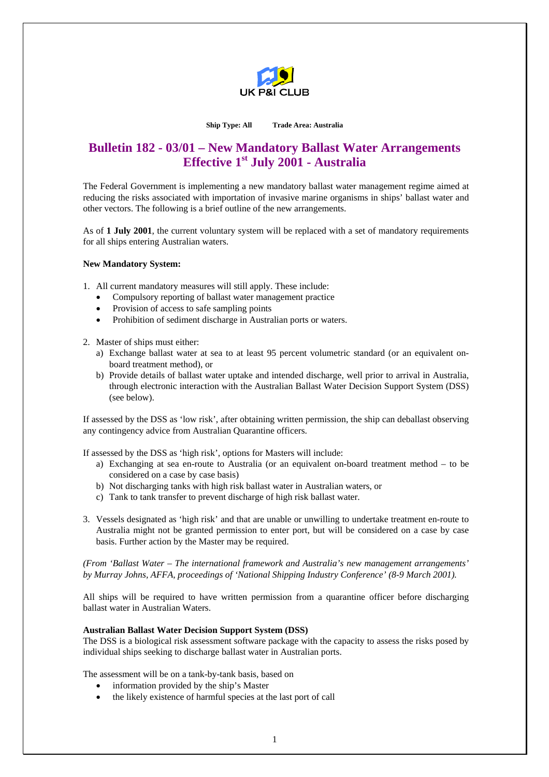

#### **Ship Type: All Trade Area: Australia**

# **Bulletin 182 - 03/01 – New Mandatory Ballast Water Arrangements Effective 1st July 2001 - Australia**

The Federal Government is implementing a new mandatory ballast water management regime aimed at reducing the risks associated with importation of invasive marine organisms in ships' ballast water and other vectors. The following is a brief outline of the new arrangements.

As of **1 July 2001**, the current voluntary system will be replaced with a set of mandatory requirements for all ships entering Australian waters.

#### **New Mandatory System:**

1. All current mandatory measures will still apply. These include:

- Compulsory reporting of ballast water management practice
- Provision of access to safe sampling points
- Prohibition of sediment discharge in Australian ports or waters.

2. Master of ships must either:

- a) Exchange ballast water at sea to at least 95 percent volumetric standard (or an equivalent onboard treatment method), or
- b) Provide details of ballast water uptake and intended discharge, well prior to arrival in Australia, through electronic interaction with the Australian Ballast Water Decision Support System (DSS) (see below).

If assessed by the DSS as 'low risk', after obtaining written permission, the ship can deballast observing any contingency advice from Australian Quarantine officers.

If assessed by the DSS as 'high risk', options for Masters will include:

- a) Exchanging at sea en-route to Australia (or an equivalent on-board treatment method to be considered on a case by case basis)
- b) Not discharging tanks with high risk ballast water in Australian waters, or
- c) Tank to tank transfer to prevent discharge of high risk ballast water.
- 3. Vessels designated as 'high risk' and that are unable or unwilling to undertake treatment en-route to Australia might not be granted permission to enter port, but will be considered on a case by case basis. Further action by the Master may be required.

*(From 'Ballast Water – The international framework and Australia's new management arrangements' by Murray Johns, AFFA, proceedings of 'National Shipping Industry Conference' (8-9 March 2001).* 

All ships will be required to have written permission from a quarantine officer before discharging ballast water in Australian Waters.

# **Australian Ballast Water Decision Support System (DSS)**

The DSS is a biological risk assessment software package with the capacity to assess the risks posed by individual ships seeking to discharge ballast water in Australian ports.

The assessment will be on a tank-by-tank basis, based on

- information provided by the ship's Master
- the likely existence of harmful species at the last port of call